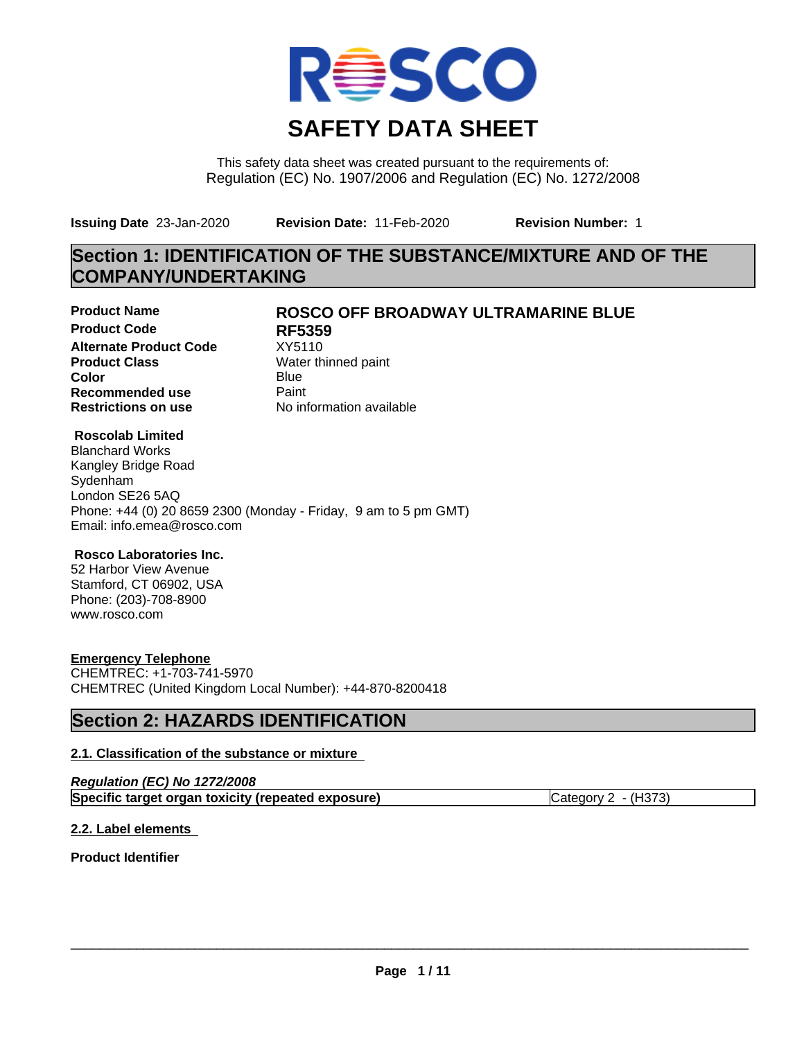

This safety data sheet was created pursuant to the requirements of: Regulation (EC) No. 1907/2006 and Regulation (EC) No. 1272/2008

**Issuing Date** 23-Jan-2020 **Revision Date:** 11-Feb-2020 **Revision Number:** 1

## **Section 1: IDENTIFICATION OF THE SUBSTANCE/MIXTURE AND OF THE COMPANY/UNDERTAKING**

**Product Code RF5359 Alternate Product Code** XY5110<br> **Product Class** Water th **Product Class** Water thinned paint<br> **Color** Blue **Color** Blue Blue **Recommended use** Paint<br> **Restrictions on use** Mo information available **Restrictions on use** 

## **Product Name ROSCO OFF BROADWAY ULTRAMARINE BLUE**

## **Roscolab Limited**

Blanchard Works Kangley Bridge Road Sydenham London SE26 5AQ Phone: +44 (0) 20 8659 2300 (Monday - Friday, 9 am to 5 pm GMT) Email: info.emea@rosco.com

## **Rosco Laboratories Inc.**

52 Harbor View Avenue Stamford, CT 06902, USA Phone: (203)-708-8900 www.rosco.com

## **Emergency Telephone**

CHEMTREC: +1-703-741-5970 CHEMTREC (United Kingdom Local Number): +44-870-8200418

## **Section 2: HAZARDS IDENTIFICATION**

## **2.1. Classification of the substance or mixture**

| Regulation (EC) No 1272/2008                       |                       |
|----------------------------------------------------|-----------------------|
| Specific target organ toxicity (repeated exposure) | Category $2 - (H373)$ |

## **2.2. Label elements**

**Product Identifier**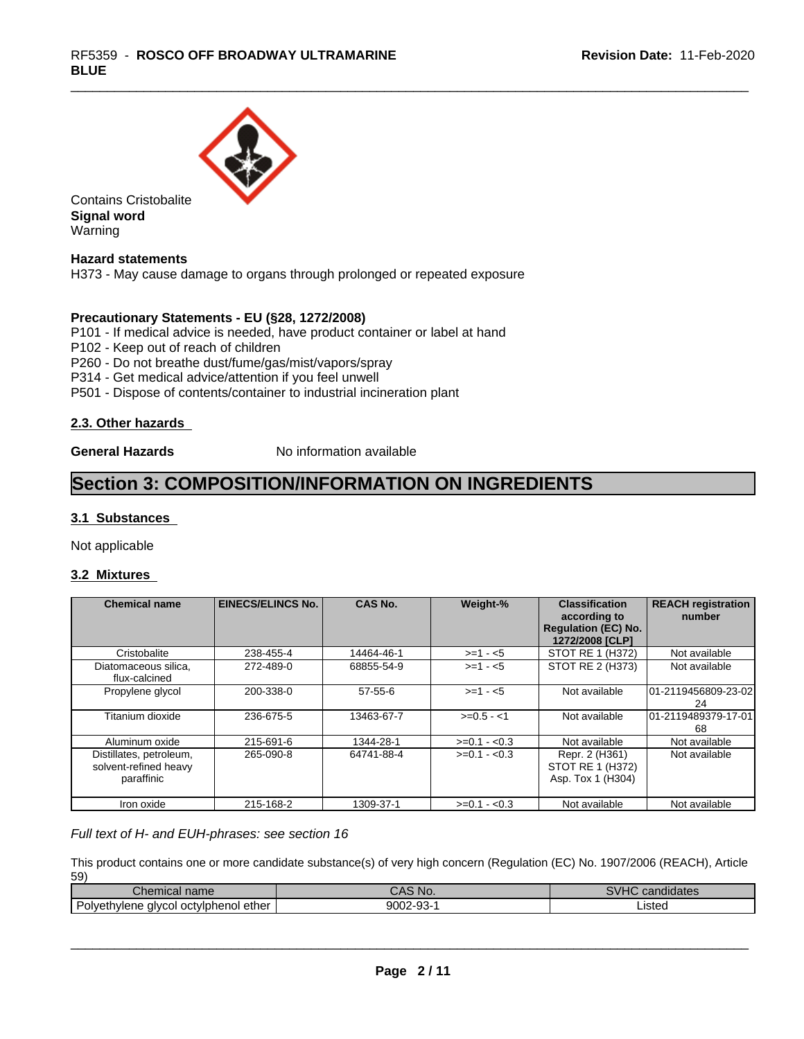

Contains Cristobalite **Signal word** Warning

**Hazard statements**

H373 - May cause damage to organs through prolonged or repeated exposure

### **Precautionary Statements - EU (§28, 1272/2008)**

P101 - If medical advice is needed, have product container or label at hand

P102 - Keep out of reach of children

P260 - Do not breathe dust/fume/gas/mist/vapors/spray

P314 - Get medical advice/attention if you feel unwell

P501 - Dispose of contents/container to industrial incineration plant

### **2.3. Other hazards**

**General Hazards** No information available

## **Section 3: COMPOSITION/INFORMATION ON INGREDIENTS**

### **3.1 Substances**

Not applicable

### **3.2 Mixtures**

| <b>Chemical name</b>                                           | <b>EINECS/ELINCS No.</b> | <b>CAS No.</b> | Weight-%      | <b>Classification</b><br>according to<br><b>Regulation (EC) No.</b><br>1272/2008 [CLP] | <b>REACH registration</b><br>number |
|----------------------------------------------------------------|--------------------------|----------------|---------------|----------------------------------------------------------------------------------------|-------------------------------------|
| Cristobalite                                                   | 238-455-4                | 14464-46-1     | $>=1 - 5$     | STOT RE 1 (H372)                                                                       | Not available                       |
| Diatomaceous silica,<br>flux-calcined                          | 272-489-0                | 68855-54-9     | $>= 1 - 5$    | STOT RE 2 (H373)                                                                       | Not available                       |
| Propylene glycol                                               | 200-338-0                | $57-55-6$      | $>= 1 - 5$    | Not available                                                                          | 101-2119456809-23-02<br>24          |
| Titanium dioxide                                               | 236-675-5                | 13463-67-7     | $>=0.5 - 1$   | Not available                                                                          | 01-2119489379-17-01<br>68           |
| Aluminum oxide                                                 | 215-691-6                | 1344-28-1      | $>=0.1 - 0.3$ | Not available                                                                          | Not available                       |
| Distillates, petroleum,<br>solvent-refined heavy<br>paraffinic | 265-090-8                | 64741-88-4     | $>=0.1 - 0.3$ | Repr. 2 (H361)<br>STOT RE 1 (H372)<br>Asp. Tox 1 (H304)                                | Not available                       |
| Iron oxide                                                     | 215-168-2                | 1309-37-1      | $>=0.1 - 0.3$ | Not available                                                                          | Not available                       |

*Full text of H- and EUH-phrases: see section 16*

This product contains one or more candidate substance(s) of very high concern (Regulation (EC) No. 1907/2006 (REACH), Article 59)

| Chemical name                                          | י ^<br>NO.                           | 01112<br><b>The Color</b><br>candidates |
|--------------------------------------------------------|--------------------------------------|-----------------------------------------|
| Polveth.<br>ether<br>' oct∨lphenol<br>hvlene<br>alvcol | $\sim$<br>9002.<br>თის სამაშა სამაშა | _istec                                  |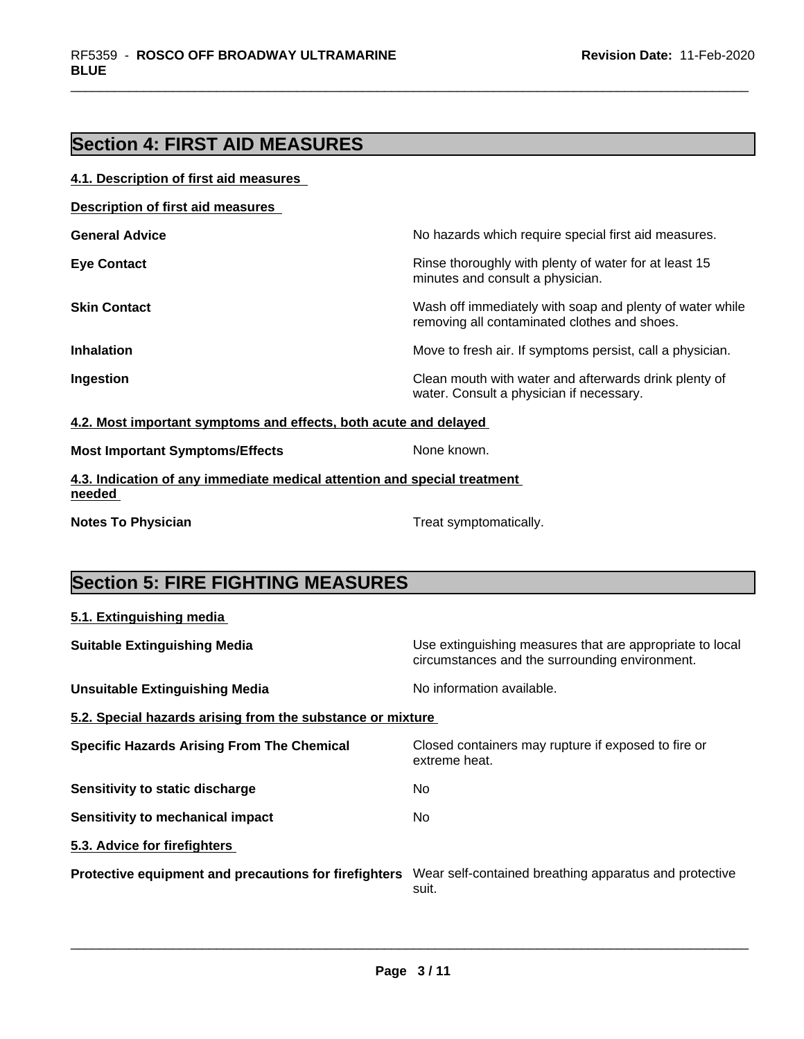## **Section 4: FIRST AID MEASURES**

| 4.1. Description of first aid measures                                             |                                                                                                          |
|------------------------------------------------------------------------------------|----------------------------------------------------------------------------------------------------------|
| <b>Description of first aid measures</b>                                           |                                                                                                          |
| <b>General Advice</b>                                                              | No hazards which require special first aid measures.                                                     |
| <b>Eye Contact</b>                                                                 | Rinse thoroughly with plenty of water for at least 15<br>minutes and consult a physician.                |
| <b>Skin Contact</b>                                                                | Wash off immediately with soap and plenty of water while<br>removing all contaminated clothes and shoes. |
| <b>Inhalation</b>                                                                  | Move to fresh air. If symptoms persist, call a physician.                                                |
| Ingestion                                                                          | Clean mouth with water and afterwards drink plenty of<br>water. Consult a physician if necessary.        |
| 4.2. Most important symptoms and effects, both acute and delayed                   |                                                                                                          |
| <b>Most Important Symptoms/Effects</b>                                             | None known.                                                                                              |
| 4.3. Indication of any immediate medical attention and special treatment<br>needed |                                                                                                          |
| <b>Notes To Physician</b>                                                          | Treat symptomatically.                                                                                   |

## **Section 5: FIRE FIGHTING MEASURES**

| 5.1. Extinguishing media                                   |                                                                                                            |
|------------------------------------------------------------|------------------------------------------------------------------------------------------------------------|
| <b>Suitable Extinguishing Media</b>                        | Use extinguishing measures that are appropriate to local<br>circumstances and the surrounding environment. |
| <b>Unsuitable Extinguishing Media</b>                      | No information available.                                                                                  |
| 5.2. Special hazards arising from the substance or mixture |                                                                                                            |
| <b>Specific Hazards Arising From The Chemical</b>          | Closed containers may rupture if exposed to fire or<br>extreme heat.                                       |
| Sensitivity to static discharge                            | No                                                                                                         |
| Sensitivity to mechanical impact                           | No.                                                                                                        |
| 5.3. Advice for firefighters                               |                                                                                                            |
| Protective equipment and precautions for firefighters      | Wear self-contained breathing apparatus and protective<br>suit.                                            |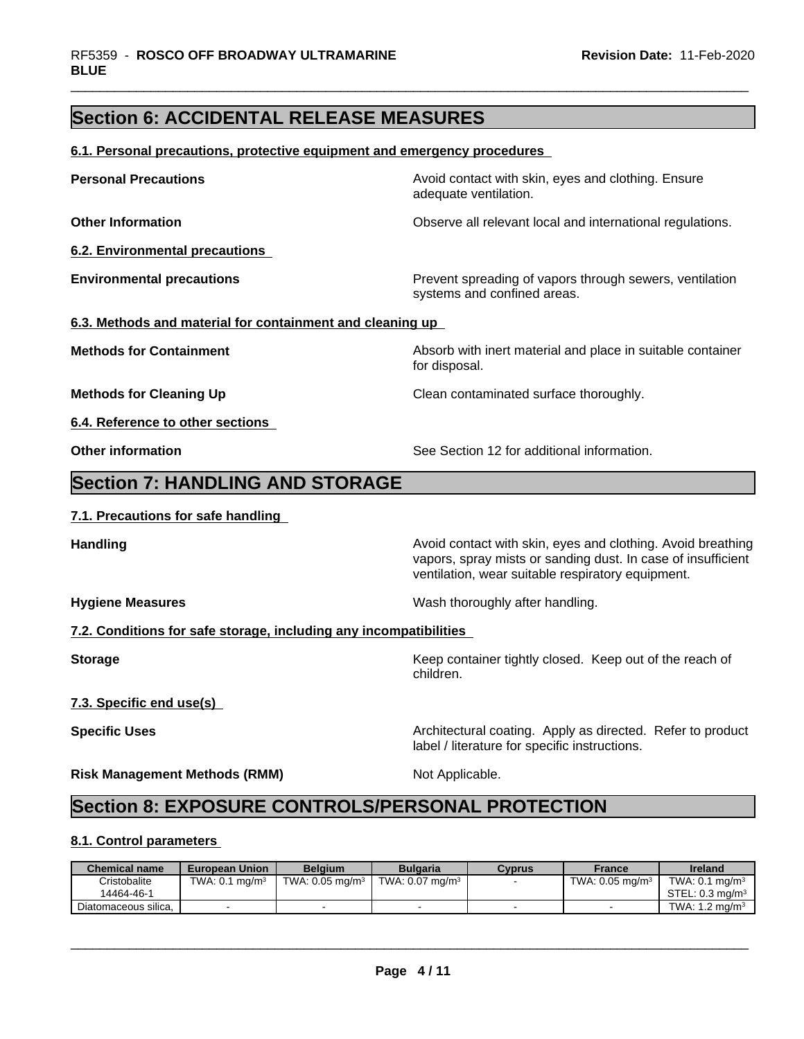## **Section 6: ACCIDENTAL RELEASE MEASURES**

### **6.1. Personal precautions, protective equipment and emergency procedures**

| <b>Personal Precautions</b>                                       | Avoid contact with skin, eyes and clothing. Ensure<br>adequate ventilation.                                                                                                      |
|-------------------------------------------------------------------|----------------------------------------------------------------------------------------------------------------------------------------------------------------------------------|
| <b>Other Information</b>                                          | Observe all relevant local and international regulations.                                                                                                                        |
| 6.2. Environmental precautions                                    |                                                                                                                                                                                  |
| <b>Environmental precautions</b>                                  | Prevent spreading of vapors through sewers, ventilation<br>systems and confined areas.                                                                                           |
| 6.3. Methods and material for containment and cleaning up         |                                                                                                                                                                                  |
| <b>Methods for Containment</b>                                    | Absorb with inert material and place in suitable container<br>for disposal.                                                                                                      |
| <b>Methods for Cleaning Up</b>                                    | Clean contaminated surface thoroughly.                                                                                                                                           |
| 6.4. Reference to other sections                                  |                                                                                                                                                                                  |
| <b>Other information</b>                                          | See Section 12 for additional information.                                                                                                                                       |
| <b>Section 7: HANDLING AND STORAGE</b>                            |                                                                                                                                                                                  |
| 7.1. Precautions for safe handling                                |                                                                                                                                                                                  |
| <b>Handling</b>                                                   | Avoid contact with skin, eyes and clothing. Avoid breathing<br>vapors, spray mists or sanding dust. In case of insufficient<br>ventilation, wear suitable respiratory equipment. |
| <b>Hygiene Measures</b>                                           | Wash thoroughly after handling.                                                                                                                                                  |
| 7.2. Conditions for safe storage, including any incompatibilities |                                                                                                                                                                                  |
| <b>Storage</b>                                                    | Keep container tightly closed. Keep out of the reach of<br>children.                                                                                                             |
| 7.3. Specific end use(s)                                          |                                                                                                                                                                                  |
|                                                                   | Architectural coating. Apply as directed. Refer to product                                                                                                                       |
| <b>Specific Uses</b>                                              | label / literature for specific instructions.                                                                                                                                    |

## **8.1. Control parameters**

| <b>Chemical name</b> | <b>European Union</b>        | <b>Belaium</b>              | <b>Bulgaria</b>            | Cvprus | France                     | <b>Ireland</b>               |
|----------------------|------------------------------|-----------------------------|----------------------------|--------|----------------------------|------------------------------|
| Cristobalite         | TWA: $0.1$ mg/m <sup>3</sup> | TWA: 0.05 mg/m <sup>3</sup> | TWA: $0.07 \text{ mg/m}^3$ |        | TWA: $0.05 \text{ mg/m}^3$ | TWA: $0.1$ ma/m <sup>3</sup> |
| 14464-46-1           |                              |                             |                            |        |                            | STEL: $0.3 \text{ ma/m}^3$   |
| Diatomaceous silica. |                              |                             |                            |        |                            | TWA: $1.2 \text{ ma/m}^3$    |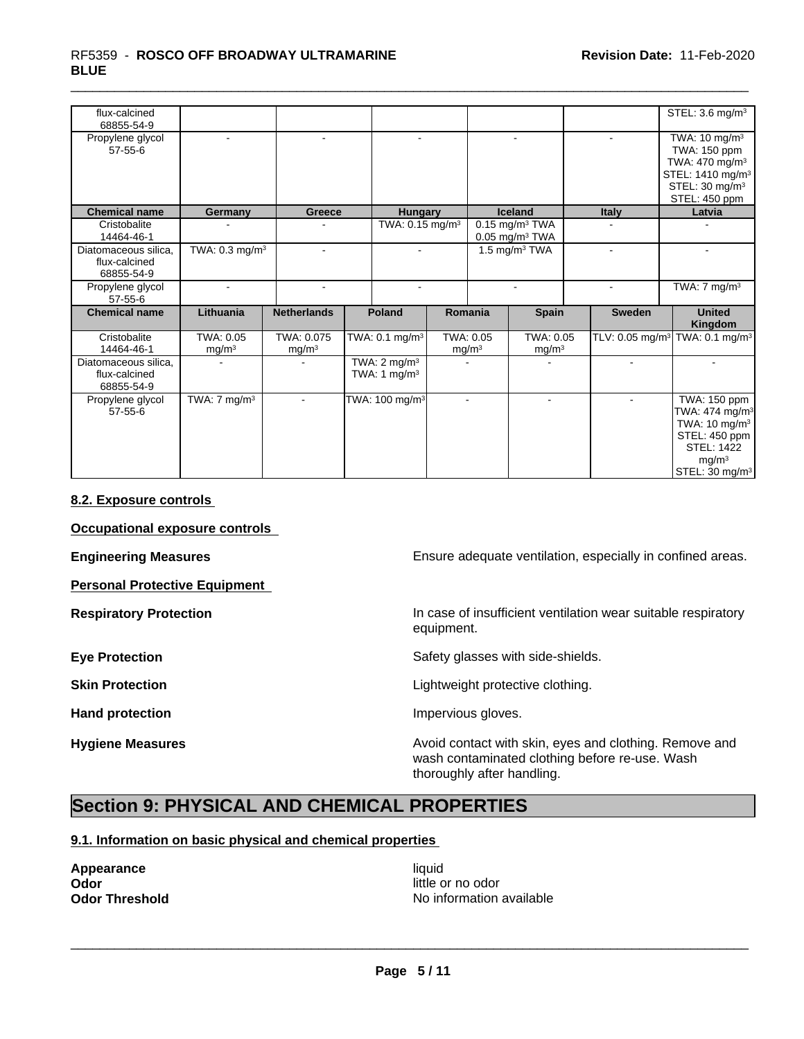| flux-calcined<br>68855-54-9                         |                                |                                 |                                                            |                                |                                                              |                | STEL: 3.6 mg/m <sup>3</sup>                                                                                                                                        |
|-----------------------------------------------------|--------------------------------|---------------------------------|------------------------------------------------------------|--------------------------------|--------------------------------------------------------------|----------------|--------------------------------------------------------------------------------------------------------------------------------------------------------------------|
| Propylene glycol<br>$57 - 55 - 6$                   | $\sim$                         | $\blacksquare$                  | $\blacksquare$                                             |                                | $\sim$                                                       |                | TWA: $10 \text{ mg/m}^3$<br>TWA: 150 ppm<br>TWA: 470 mg/m <sup>3</sup><br>STEL: 1410 mg/m <sup>3</sup><br>STEL: 30 mg/m <sup>3</sup><br>STEL: 450 ppm              |
| <b>Chemical name</b>                                | Germany                        | Greece                          | <b>Hungary</b>                                             |                                | <b>Iceland</b>                                               | <b>Italy</b>   | Latvia                                                                                                                                                             |
| Cristobalite<br>14464-46-1                          |                                |                                 | TWA: 0.15 mg/m <sup>3</sup>                                |                                | $0.15$ mg/m <sup>3</sup> TWA<br>$0.05$ mg/m <sup>3</sup> TWA |                |                                                                                                                                                                    |
| Diatomaceous silica.<br>flux-calcined<br>68855-54-9 | TWA: 0.3 mg/m <sup>3</sup>     | $\mathbf{r}$                    |                                                            |                                | 1.5 $\overline{\text{mg}}/\text{m}^3$ TWA                    |                |                                                                                                                                                                    |
| Propylene glycol<br>$57 - 55 - 6$                   | $\sim$                         | $\blacksquare$                  |                                                            |                                |                                                              |                | TWA: $7 \text{ mg/m}^3$                                                                                                                                            |
| <b>Chemical name</b>                                | Lithuania                      | <b>Netherlands</b>              | <b>Poland</b>                                              | Romania                        | <b>Spain</b>                                                 | <b>Sweden</b>  | <b>United</b><br>Kingdom                                                                                                                                           |
| Cristobalite<br>14464-46-1                          | TWA: 0.05<br>mg/m <sup>3</sup> | TWA: 0.075<br>mg/m <sup>3</sup> | TWA: 0.1 mg/m <sup>3</sup>                                 | TWA: 0.05<br>mg/m <sup>3</sup> | TWA: 0.05<br>mg/m <sup>3</sup>                               |                | TLV: 0.05 mg/m <sup>3</sup> TWA: 0.1 mg/m <sup>3</sup>                                                                                                             |
| Diatomaceous silica,<br>flux-calcined<br>68855-54-9 |                                |                                 | TWA: $2 \overline{\text{mg}}/\text{m}^3$<br>TWA: 1 $mg/m3$ |                                |                                                              |                |                                                                                                                                                                    |
| Propylene glycol<br>$57 - 55 - 6$                   | TWA: $7 \text{ mg/m}^3$        |                                 | TWA: 100 mg/m <sup>3</sup>                                 | $\blacksquare$                 | $\overline{\phantom{a}}$                                     | $\blacksquare$ | TWA: 150 ppm<br>TWA: $474$ mg/m <sup>3</sup><br>TWA: 10 mg/m <sup>3</sup><br>STEL: 450 ppm<br><b>STEL: 1422</b><br>mg/m <sup>3</sup><br>STEL: 30 mg/m <sup>3</sup> |

### **8.2. Exposure controls**

**Occupational exposure controls**

**Personal Protective Equipment**

**Engineering Measures Ensure adequate ventilation, especially in confined areas.** 

**Respiratory Protection In case of insufficient ventilation wear suitable respiratory** equipment.

**Eye Protection** Safety glasses with side-shields.

**Skin Protection Skin Protection Lightweight protective clothing.** 

Hand protection **Impervious** gloves.

**Hygiene Measures Avoid contact with skin, eyes and clothing. Remove and Avoid contact with skin, eyes and clothing. Remove and** wash contaminated clothing before re-use. Wash thoroughly after handling.

## **Section 9: PHYSICAL AND CHEMICAL PROPERTIES**

### **9.1. Information on basic physical and chemical properties**

**Appearance** liquid **Odor** little or no odor<br> **Odor Threshold Codor Integrated Codor Codor Integrated Codor Codor Codor Codor Codor Codor Codor Codor Codor Codor Codor Codor Codor Codor Co** 

**No information available**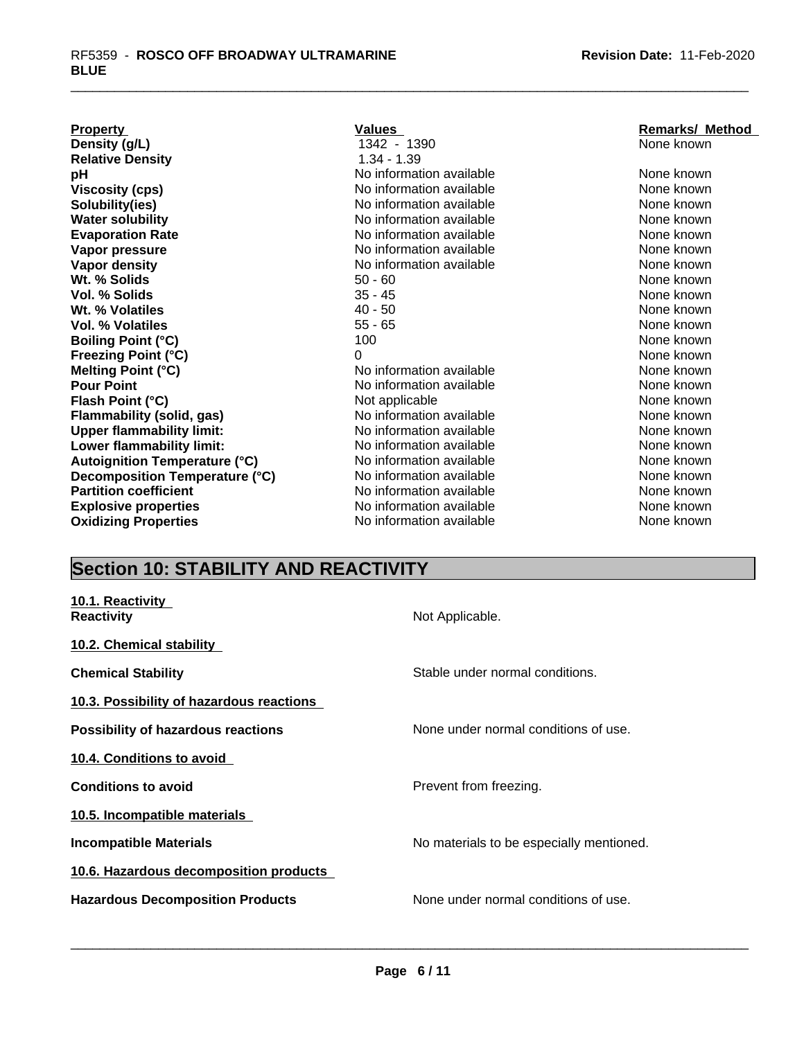| <b>Property</b>                      | Values                   | <b>Remarks/ Method</b> |
|--------------------------------------|--------------------------|------------------------|
| Density (g/L)                        | 1342 - 1390              | None known             |
| <b>Relative Density</b>              | $1.34 - 1.39$            |                        |
| рH                                   | No information available | None known             |
| <b>Viscosity (cps)</b>               | No information available | None known             |
| Solubility(ies)                      | No information available | None known             |
| <b>Water solubility</b>              | No information available | None known             |
| <b>Evaporation Rate</b>              | No information available | None known             |
| Vapor pressure                       | No information available | None known             |
| Vapor density                        | No information available | None known             |
| Wt. % Solids                         | $50 - 60$                | None known             |
| Vol. % Solids                        | $35 - 45$                | None known             |
| Wt. % Volatiles                      | $40 - 50$                | None known             |
| <b>Vol. % Volatiles</b>              | $55 - 65$                | None known             |
| <b>Boiling Point (°C)</b>            | 100                      | None known             |
| <b>Freezing Point (°C)</b>           | 0                        | None known             |
| Melting Point (°C)                   | No information available | None known             |
| <b>Pour Point</b>                    | No information available | None known             |
| Flash Point (°C)                     | Not applicable           | None known             |
| <b>Flammability (solid, gas)</b>     | No information available | None known             |
| <b>Upper flammability limit:</b>     | No information available | None known             |
| Lower flammability limit:            | No information available | None known             |
| <b>Autoignition Temperature (°C)</b> | No information available | None known             |
| Decomposition Temperature (°C)       | No information available | None known             |
| <b>Partition coefficient</b>         | No information available | None known             |
| <b>Explosive properties</b>          | No information available | None known             |
| <b>Oxidizing Properties</b>          | No information available | None known             |

# **Section 10: STABILITY AND REACTIVITY**

| 10.1. Reactivity<br><b>Reactivity</b>     | Not Applicable.                          |
|-------------------------------------------|------------------------------------------|
| <b>10.2. Chemical stability</b>           |                                          |
| <b>Chemical Stability</b>                 | Stable under normal conditions.          |
| 10.3. Possibility of hazardous reactions  |                                          |
| <b>Possibility of hazardous reactions</b> | None under normal conditions of use.     |
| 10.4. Conditions to avoid                 |                                          |
| <b>Conditions to avoid</b>                | Prevent from freezing.                   |
| 10.5. Incompatible materials              |                                          |
| <b>Incompatible Materials</b>             | No materials to be especially mentioned. |
| 10.6. Hazardous decomposition products    |                                          |
| <b>Hazardous Decomposition Products</b>   | None under normal conditions of use.     |
|                                           |                                          |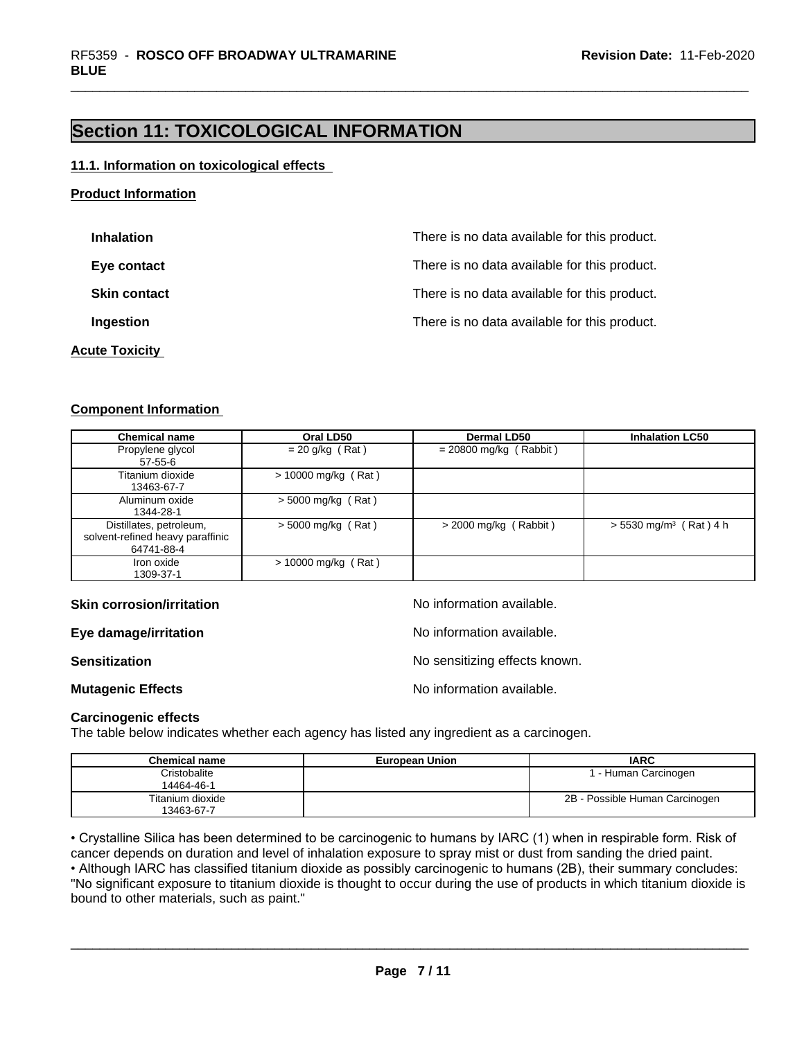## **Section 11: TOXICOLOGICAL INFORMATION**

#### **11.1. Information on toxicological effects**

### **Product Information**

| <b>Inhalation</b>     | There is no data available for this product. |
|-----------------------|----------------------------------------------|
| Eye contact           | There is no data available for this product. |
| <b>Skin contact</b>   | There is no data available for this product. |
| Ingestion             | There is no data available for this product. |
| <b>Acute Toxicity</b> |                                              |

## **Component Information**

| <b>Chemical name</b>                                                      | Oral LD50             | <b>Dermal LD50</b>       | <b>Inhalation LC50</b>               |
|---------------------------------------------------------------------------|-----------------------|--------------------------|--------------------------------------|
| Propylene glycol<br>57-55-6                                               | $= 20$ g/kg (Rat)     | $= 20800$ mg/kg (Rabbit) |                                      |
| Titanium dioxide<br>13463-67-7                                            | $> 10000$ mg/kg (Rat) |                          |                                      |
| Aluminum oxide<br>1344-28-1                                               | $> 5000$ mg/kg (Rat)  |                          |                                      |
| Distillates, petroleum,<br>solvent-refined heavy paraffinic<br>64741-88-4 | $> 5000$ mg/kg (Rat)  | $>$ 2000 mg/kg (Rabbit)  | $> 5530$ mg/m <sup>3</sup> (Rat) 4 h |
| Iron oxide<br>1309-37-1                                                   | $> 10000$ mg/kg (Rat) |                          |                                      |

#### **Skin corrosion/irritation No information available.** No information available.

**Eye damage/irritation Eye damage/irritation No information available.** 

**Sensitization** No sensitizing effects known.

**Mutagenic Effects Mutagenic Effects No information available.** 

#### **Carcinogenic effects**

The table below indicates whether each agency has listed any ingredient as a carcinogen.

| <b>Chemical name</b> | <b>European Union</b> | <b>IARC</b>                    |
|----------------------|-----------------------|--------------------------------|
| Cristobalite         |                       | - Human Carcinogen             |
| 14464-46-1           |                       |                                |
| Titanium dioxide     |                       | 2B - Possible Human Carcinogen |
| 13463-67-7           |                       |                                |

• Crystalline Silica has been determined to be carcinogenic to humans by IARC (1) when in respirable form. Risk of cancer depends on duration and level of inhalation exposure to spray mist or dust from sanding the dried paint.• Although IARC has classified titanium dioxide as possibly carcinogenic to humans (2B), their summary concludes: "No significant exposure to titanium dioxide is thought to occur during the use of products in which titanium dioxide is bound to other materials, such as paint."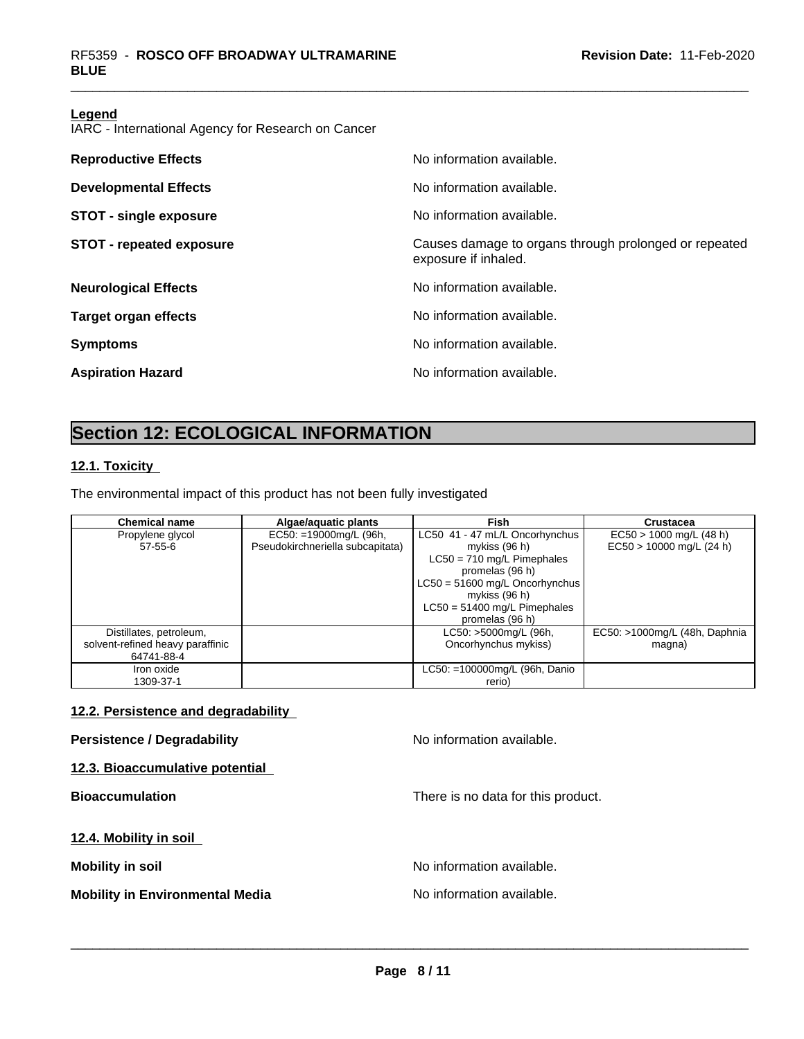#### **Legend**

IARC - International Agency for Research on Cancer

| <b>Reproductive Effects</b>     | No information available.                                                     |
|---------------------------------|-------------------------------------------------------------------------------|
| <b>Developmental Effects</b>    | No information available.                                                     |
| <b>STOT - single exposure</b>   | No information available.                                                     |
| <b>STOT - repeated exposure</b> | Causes damage to organs through prolonged or repeated<br>exposure if inhaled. |
| <b>Neurological Effects</b>     | No information available.                                                     |
| <b>Target organ effects</b>     | No information available.                                                     |
| <b>Symptoms</b>                 | No information available.                                                     |
| <b>Aspiration Hazard</b>        | No information available.                                                     |
|                                 |                                                                               |

## **Section 12: ECOLOGICAL INFORMATION**

### **12.1. Toxicity**

The environmental impact of this product has not been fully investigated

| <b>Chemical name</b>             | Algae/aquatic plants             | <b>Fish</b>                      | <b>Crustacea</b>              |
|----------------------------------|----------------------------------|----------------------------------|-------------------------------|
| Propylene glycol                 | $EC50: =19000$ mg/L (96h,        | LC50 41 - 47 mL/L Oncorhynchus   | $EC50 > 1000$ mg/L (48 h)     |
| $57 - 55 - 6$                    | Pseudokirchneriella subcapitata) | mykiss (96 h)                    | $EC50 > 10000$ mg/L (24 h)    |
|                                  |                                  | $LC50 = 710$ mg/L Pimephales     |                               |
|                                  |                                  | promelas (96 h)                  |                               |
|                                  |                                  | $LC50 = 51600$ mg/L Oncorhynchus |                               |
|                                  |                                  | mykiss $(96 h)$                  |                               |
|                                  |                                  | $LC50 = 51400$ mg/L Pimephales   |                               |
|                                  |                                  | promelas (96 h)                  |                               |
| Distillates, petroleum,          |                                  | LC50: >5000mg/L (96h,            | EC50: >1000mg/L (48h, Daphnia |
| solvent-refined heavy paraffinic |                                  | Oncorhynchus mykiss)             | magna)                        |
| 64741-88-4                       |                                  |                                  |                               |
| Iron oxide                       |                                  | LC50: =100000mg/L (96h, Danio    |                               |
| 1309-37-1                        |                                  | rerio)                           |                               |

### **12.2. Persistence and degradability**

## **Persistence / Degradability No information available.**

**12.3. Bioaccumulative potential**

**12.4. Mobility in soil**

**Mobility in Environmental Media** Noinformation available.

**Bioaccumulation Bioaccumulation Bioaccumulation There is no data for this product.** 

**Mobility** in soil **Mobility** in soil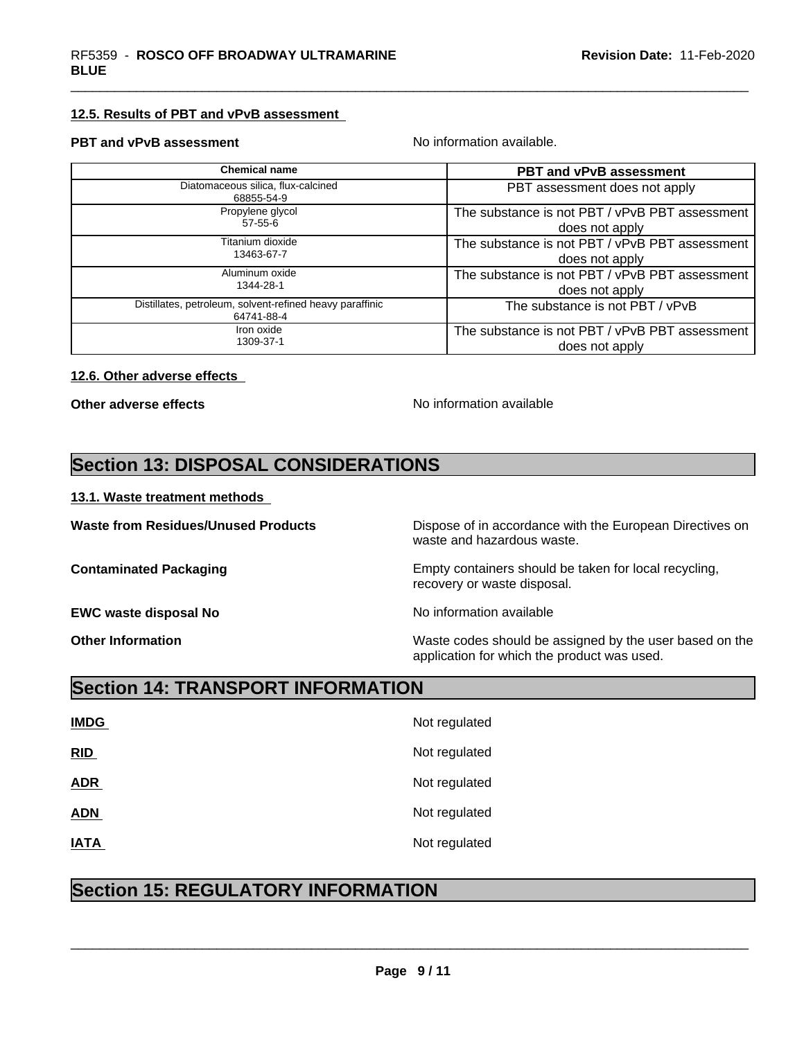### **12.5. Results of PBT and vPvB assessment**

#### **PBT and vPvB assessment No information available.**

| <b>Chemical name</b>                                                   | <b>PBT and vPvB assessment</b>                 |
|------------------------------------------------------------------------|------------------------------------------------|
| Diatomaceous silica, flux-calcined<br>68855-54-9                       | PBT assessment does not apply                  |
| Propylene glycol                                                       | The substance is not PBT / vPvB PBT assessment |
| 57-55-6                                                                | does not apply                                 |
| Titanium dioxide                                                       | The substance is not PBT / vPvB PBT assessment |
| 13463-67-7                                                             | does not apply                                 |
| Aluminum oxide                                                         | The substance is not PBT / vPvB PBT assessment |
| 1344-28-1                                                              | does not apply                                 |
| Distillates, petroleum, solvent-refined heavy paraffinic<br>64741-88-4 | The substance is not PBT / vPvB                |
| Iron oxide                                                             | The substance is not PBT / vPvB PBT assessment |
| 1309-37-1                                                              | does not apply                                 |

### **12.6. Other adverse effects**

**Other adverse effects** No information available

## **Section 13: DISPOSAL CONSIDERATIONS**

#### **13.1. Waste treatment methods**

**EWC waste disposal No** Noinformation available

**Waste from Residues/Unused Products** Dispose of in accordance with the European Directives on waste and hazardous waste.

**Contaminated Packaging <b>Empty Containers** should be taken for local recycling, recovery or waste disposal.

**Other Information** Maste codes should be assigned by the user based on the user based on the application for which the product was used.

## **Section 14: TRANSPORT INFORMATION**

| <b>IMDG</b> | Not regulated |
|-------------|---------------|
| RID         | Not regulated |
| <b>ADR</b>  | Not regulated |
| <b>ADN</b>  | Not regulated |
| <b>IATA</b> | Not regulated |

## **Section 15: REGULATORY INFORMATION**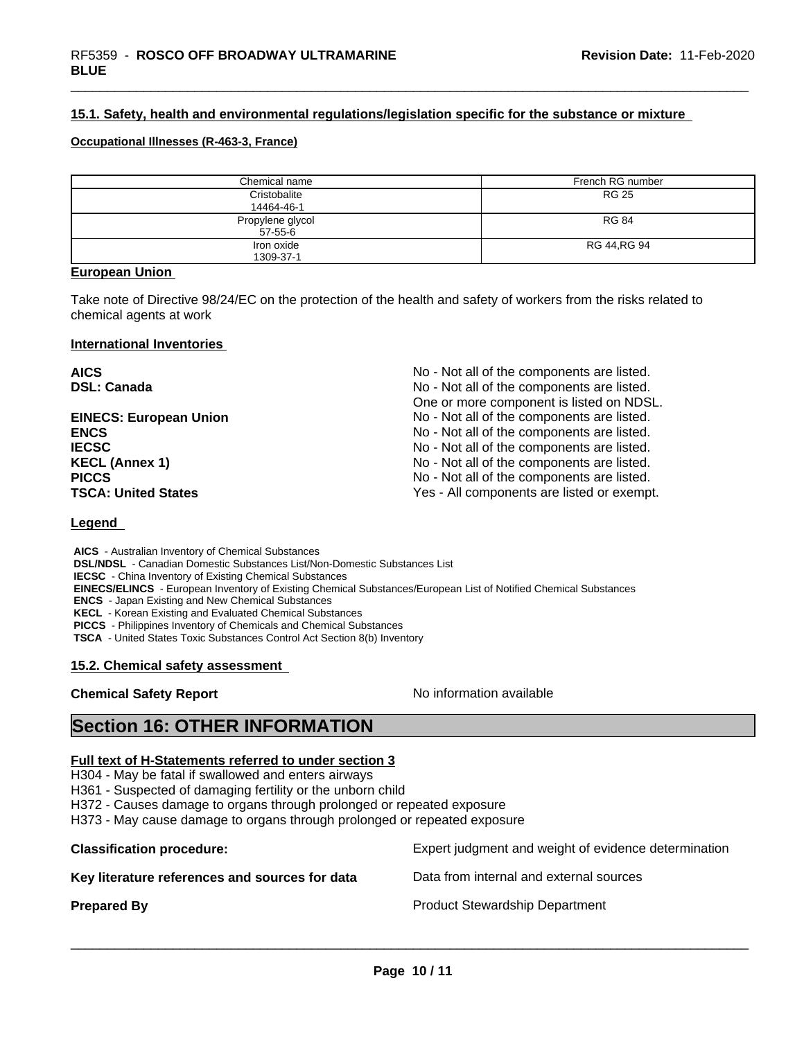### **15.1. Safety, health and environmental regulations/legislation specific for the substance or mixture**

#### **Occupational Illnesses (R-463-3, France)**

| Chemical name                     | French RG number |
|-----------------------------------|------------------|
| Cristobalite<br>14464-46-1        | <b>RG 25</b>     |
| Propylene glycol<br>$57 - 55 - 6$ | <b>RG 84</b>     |
| Iron oxide<br>1309-37-1           | RG 44, RG 94     |

#### **European Union**

Take note of Directive 98/24/EC on the protection of the health and safety of workers from the risks related to chemical agents at work

#### **International Inventories**

**AICS** No - Not all of the components are listed. **DSL: Canada No - Note all of the components are listed.** No - Not all of the components are listed. One or more component is listed on NDSL. **EINECS: European Union** No - Not all of the components are listed. **ENCS ENCS ENCS ENCS ENCS ENCS ENCS ENCS ENCS ENCS ENCS ENCS ENCS ENCS ENCS ENCS ENCS ENCS ENCS ENCS ENCS ENCS ENCS ENCS ENCS ENCS ENCS ENCS ENCS IECSC IECSC IECSC IECSC IECSC IECSC IECSC IECSC IECSC IECSC IECS IECS IECS IECS IECS IECS IECS IECS IECS IECS IECS IECS IECS IECS IECS IECS IECS IECS IECS IECS I KECL (Annex 1)** No - Not all of the components are listed. **PICCS No** - Not all of the components are listed. **TSCA: United States** TSCA:  $Y$ es - All components are listed or exempt.

#### **Legend**

 **AICS** - Australian Inventory of Chemical Substances  **DSL/NDSL** - Canadian Domestic Substances List/Non-Domestic Substances List  **IECSC** - China Inventory of Existing Chemical Substances  **EINECS/ELINCS** - European Inventory of Existing Chemical Substances/European List of Notified Chemical Substances  **ENCS** - Japan Existing and New Chemical Substances  **KECL** - Korean Existing and Evaluated Chemical Substances  **PICCS** - Philippines Inventory of Chemicals and Chemical Substances  **TSCA** - United States Toxic Substances Control Act Section 8(b) Inventory

#### **15.2. Chemical safety assessment**

## **Chemical Safety Report** No information available

 $\overline{\phantom{a}}$  ,  $\overline{\phantom{a}}$  ,  $\overline{\phantom{a}}$  ,  $\overline{\phantom{a}}$  ,  $\overline{\phantom{a}}$  ,  $\overline{\phantom{a}}$  ,  $\overline{\phantom{a}}$  ,  $\overline{\phantom{a}}$  ,  $\overline{\phantom{a}}$  ,  $\overline{\phantom{a}}$  ,  $\overline{\phantom{a}}$  ,  $\overline{\phantom{a}}$  ,  $\overline{\phantom{a}}$  ,  $\overline{\phantom{a}}$  ,  $\overline{\phantom{a}}$  ,  $\overline{\phantom{a}}$ 

## **Section 16: OTHER INFORMATION**

### **Full text of H-Statements referred to under section 3**

H304 - May be fatal if swallowed and enters airways

H361 - Suspected of damaging fertility or the unborn child

H372 - Causes damage to organs through prolonged or repeated exposure

H373 - May cause damage to organs through prolonged or repeated exposure

**Classification procedure:** The Expert judgment and weight of evidence determination **Key literature references and sources for data** Data from internal and external sources **Prepared By Product Stewardship Department**